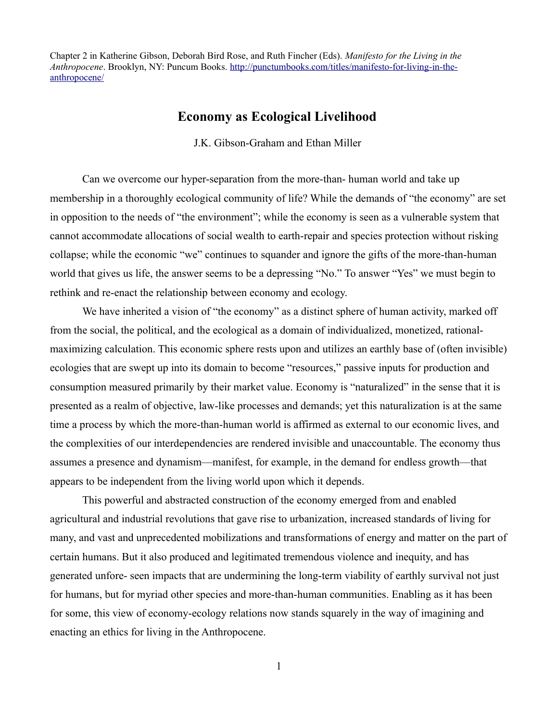Chapter 2 in Katherine Gibson, Deborah Bird Rose, and Ruth Fincher (Eds). *Manifesto for the Living in the Anthropocene*. Brooklyn, NY: Puncum Books. [http://punctumbooks.com/titles/manifesto-for-living-in-the](http://punctumbooks.com/titles/manifesto-for-living-in-the-anthropocene/)[anthropocene/](http://punctumbooks.com/titles/manifesto-for-living-in-the-anthropocene/)

# **Economy as Ecological Livelihood**

J.K. Gibson-Graham and Ethan Miller

Can we overcome our hyper-separation from the more-than- human world and take up membership in a thoroughly ecological community of life? While the demands of "the economy" are set in opposition to the needs of "the environment"; while the economy is seen as a vulnerable system that cannot accommodate allocations of social wealth to earth-repair and species protection without risking collapse; while the economic "we" continues to squander and ignore the gifts of the more-than-human world that gives us life, the answer seems to be a depressing "No." To answer "Yes" we must begin to rethink and re-enact the relationship between economy and ecology.

We have inherited a vision of "the economy" as a distinct sphere of human activity, marked off from the social, the political, and the ecological as a domain of individualized, monetized, rationalmaximizing calculation. This economic sphere rests upon and utilizes an earthly base of (often invisible) ecologies that are swept up into its domain to become "resources," passive inputs for production and consumption measured primarily by their market value. Economy is "naturalized" in the sense that it is presented as a realm of objective, law-like processes and demands; yet this naturalization is at the same time a process by which the more-than-human world is affirmed as external to our economic lives, and the complexities of our interdependencies are rendered invisible and unaccountable. The economy thus assumes a presence and dynamism—manifest, for example, in the demand for endless growth—that appears to be independent from the living world upon which it depends.

This powerful and abstracted construction of the economy emerged from and enabled agricultural and industrial revolutions that gave rise to urbanization, increased standards of living for many, and vast and unprecedented mobilizations and transformations of energy and matter on the part of certain humans. But it also produced and legitimated tremendous violence and inequity, and has generated unfore- seen impacts that are undermining the long-term viability of earthly survival not just for humans, but for myriad other species and more-than-human communities. Enabling as it has been for some, this view of economy-ecology relations now stands squarely in the way of imagining and enacting an ethics for living in the Anthropocene.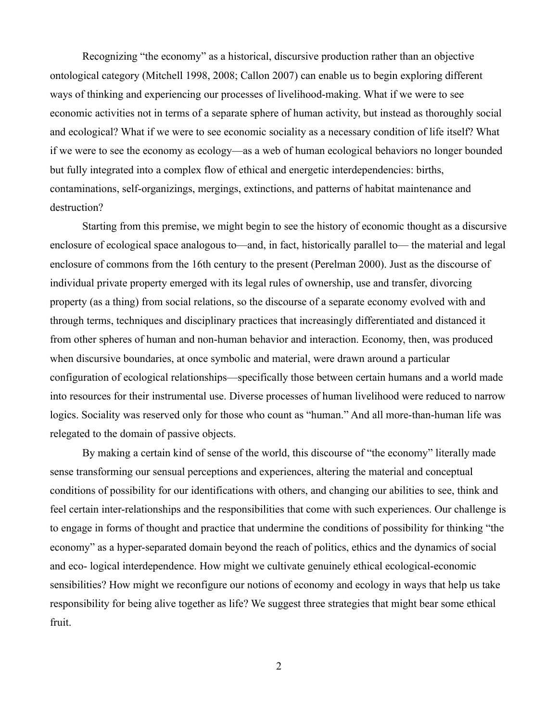Recognizing "the economy" as a historical, discursive production rather than an objective ontological category (Mitchell 1998, 2008; Callon 2007) can enable us to begin exploring different ways of thinking and experiencing our processes of livelihood-making. What if we were to see economic activities not in terms of a separate sphere of human activity, but instead as thoroughly social and ecological? What if we were to see economic sociality as a necessary condition of life itself? What if we were to see the economy as ecology—as a web of human ecological behaviors no longer bounded but fully integrated into a complex flow of ethical and energetic interdependencies: births, contaminations, self-organizings, mergings, extinctions, and patterns of habitat maintenance and destruction?

Starting from this premise, we might begin to see the history of economic thought as a discursive enclosure of ecological space analogous to—and, in fact, historically parallel to— the material and legal enclosure of commons from the 16th century to the present (Perelman 2000). Just as the discourse of individual private property emerged with its legal rules of ownership, use and transfer, divorcing property (as a thing) from social relations, so the discourse of a separate economy evolved with and through terms, techniques and disciplinary practices that increasingly differentiated and distanced it from other spheres of human and non-human behavior and interaction. Economy, then, was produced when discursive boundaries, at once symbolic and material, were drawn around a particular configuration of ecological relationships—specifically those between certain humans and a world made into resources for their instrumental use. Diverse processes of human livelihood were reduced to narrow logics. Sociality was reserved only for those who count as "human." And all more-than-human life was relegated to the domain of passive objects.

By making a certain kind of sense of the world, this discourse of "the economy" literally made sense transforming our sensual perceptions and experiences, altering the material and conceptual conditions of possibility for our identifications with others, and changing our abilities to see, think and feel certain inter-relationships and the responsibilities that come with such experiences. Our challenge is to engage in forms of thought and practice that undermine the conditions of possibility for thinking "the economy" as a hyper-separated domain beyond the reach of politics, ethics and the dynamics of social and eco- logical interdependence. How might we cultivate genuinely ethical ecological-economic sensibilities? How might we reconfigure our notions of economy and ecology in ways that help us take responsibility for being alive together as life? We suggest three strategies that might bear some ethical fruit.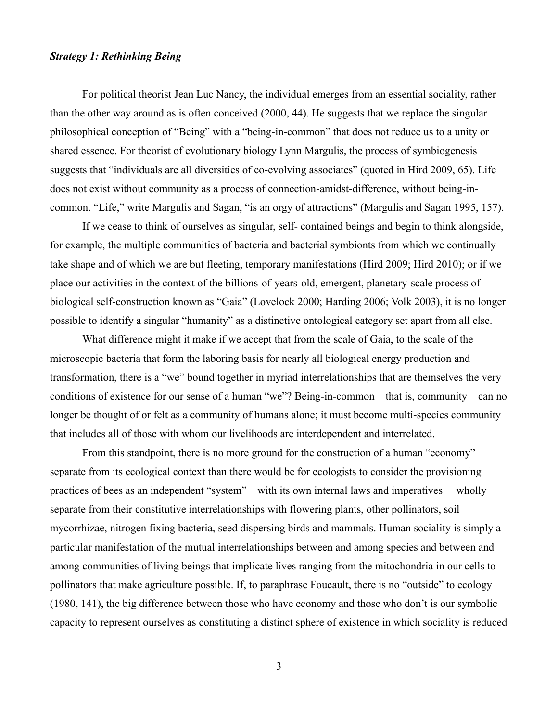#### *Strategy 1: Rethinking Being*

For political theorist Jean Luc Nancy, the individual emerges from an essential sociality, rather than the other way around as is often conceived (2000, 44). He suggests that we replace the singular philosophical conception of "Being" with a "being-in-common" that does not reduce us to a unity or shared essence. For theorist of evolutionary biology Lynn Margulis, the process of symbiogenesis suggests that "individuals are all diversities of co-evolving associates" (quoted in Hird 2009, 65). Life does not exist without community as a process of connection-amidst-difference, without being-incommon. "Life," write Margulis and Sagan, "is an orgy of attractions" (Margulis and Sagan 1995, 157).

If we cease to think of ourselves as singular, self- contained beings and begin to think alongside, for example, the multiple communities of bacteria and bacterial symbionts from which we continually take shape and of which we are but fleeting, temporary manifestations (Hird 2009; Hird 2010); or if we place our activities in the context of the billions-of-years-old, emergent, planetary-scale process of biological self-construction known as "Gaia" (Lovelock 2000; Harding 2006; Volk 2003), it is no longer possible to identify a singular "humanity" as a distinctive ontological category set apart from all else.

What difference might it make if we accept that from the scale of Gaia, to the scale of the microscopic bacteria that form the laboring basis for nearly all biological energy production and transformation, there is a "we" bound together in myriad interrelationships that are themselves the very conditions of existence for our sense of a human "we"? Being-in-common—that is, community—can no longer be thought of or felt as a community of humans alone; it must become multi-species community that includes all of those with whom our livelihoods are interdependent and interrelated.

From this standpoint, there is no more ground for the construction of a human "economy" separate from its ecological context than there would be for ecologists to consider the provisioning practices of bees as an independent "system"—with its own internal laws and imperatives— wholly separate from their constitutive interrelationships with flowering plants, other pollinators, soil mycorrhizae, nitrogen fixing bacteria, seed dispersing birds and mammals. Human sociality is simply a particular manifestation of the mutual interrelationships between and among species and between and among communities of living beings that implicate lives ranging from the mitochondria in our cells to pollinators that make agriculture possible. If, to paraphrase Foucault, there is no "outside" to ecology (1980, 141), the big difference between those who have economy and those who don't is our symbolic capacity to represent ourselves as constituting a distinct sphere of existence in which sociality is reduced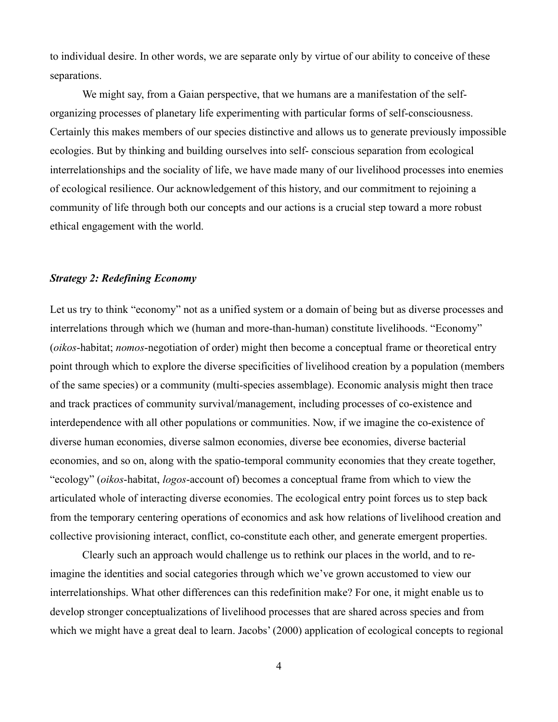to individual desire. In other words, we are separate only by virtue of our ability to conceive of these separations.

We might say, from a Gaian perspective, that we humans are a manifestation of the selforganizing processes of planetary life experimenting with particular forms of self-consciousness. Certainly this makes members of our species distinctive and allows us to generate previously impossible ecologies. But by thinking and building ourselves into self- conscious separation from ecological interrelationships and the sociality of life, we have made many of our livelihood processes into enemies of ecological resilience. Our acknowledgement of this history, and our commitment to rejoining a community of life through both our concepts and our actions is a crucial step toward a more robust ethical engagement with the world.

#### *Strategy 2: Redefining Economy*

Let us try to think "economy" not as a unified system or a domain of being but as diverse processes and interrelations through which we (human and more-than-human) constitute livelihoods. "Economy" (*oikos*-habitat; *nomos*-negotiation of order) might then become a conceptual frame or theoretical entry point through which to explore the diverse specificities of livelihood creation by a population (members of the same species) or a community (multi-species assemblage). Economic analysis might then trace and track practices of community survival/management, including processes of co-existence and interdependence with all other populations or communities. Now, if we imagine the co-existence of diverse human economies, diverse salmon economies, diverse bee economies, diverse bacterial economies, and so on, along with the spatio-temporal community economies that they create together, "ecology" (*oikos*-habitat, *logos*-account of) becomes a conceptual frame from which to view the articulated whole of interacting diverse economies. The ecological entry point forces us to step back from the temporary centering operations of economics and ask how relations of livelihood creation and collective provisioning interact, conflict, co-constitute each other, and generate emergent properties.

Clearly such an approach would challenge us to rethink our places in the world, and to reimagine the identities and social categories through which we've grown accustomed to view our interrelationships. What other differences can this redefinition make? For one, it might enable us to develop stronger conceptualizations of livelihood processes that are shared across species and from which we might have a great deal to learn. Jacobs' (2000) application of ecological concepts to regional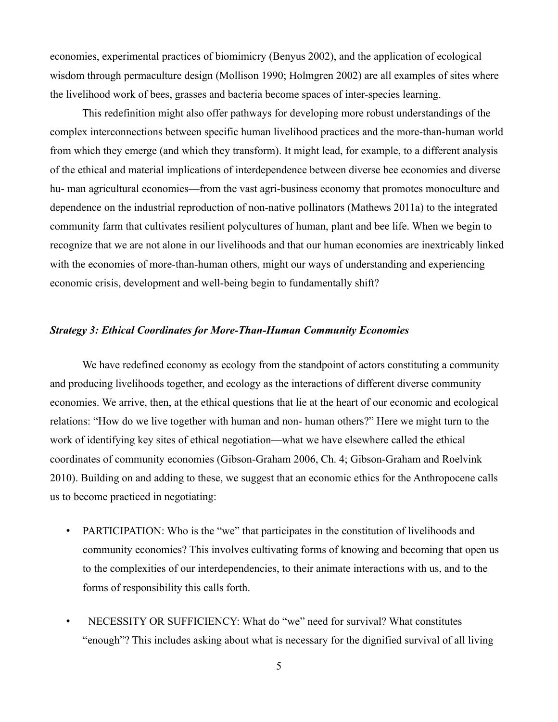economies, experimental practices of biomimicry (Benyus 2002), and the application of ecological wisdom through permaculture design (Mollison 1990; Holmgren 2002) are all examples of sites where the livelihood work of bees, grasses and bacteria become spaces of inter-species learning.

This redefinition might also offer pathways for developing more robust understandings of the complex interconnections between specific human livelihood practices and the more-than-human world from which they emerge (and which they transform). It might lead, for example, to a different analysis of the ethical and material implications of interdependence between diverse bee economies and diverse hu- man agricultural economies—from the vast agri-business economy that promotes monoculture and dependence on the industrial reproduction of non-native pollinators (Mathews 2011a) to the integrated community farm that cultivates resilient polycultures of human, plant and bee life. When we begin to recognize that we are not alone in our livelihoods and that our human economies are inextricably linked with the economies of more-than-human others, might our ways of understanding and experiencing economic crisis, development and well-being begin to fundamentally shift?

### *Strategy 3: Ethical Coordinates for More-Than-Human Community Economies*

We have redefined economy as ecology from the standpoint of actors constituting a community and producing livelihoods together, and ecology as the interactions of different diverse community economies. We arrive, then, at the ethical questions that lie at the heart of our economic and ecological relations: "How do we live together with human and non- human others?" Here we might turn to the work of identifying key sites of ethical negotiation—what we have elsewhere called the ethical coordinates of community economies (Gibson-Graham 2006, Ch. 4; Gibson-Graham and Roelvink 2010). Building on and adding to these, we suggest that an economic ethics for the Anthropocene calls us to become practiced in negotiating:

- PARTICIPATION: Who is the "we" that participates in the constitution of livelihoods and community economies? This involves cultivating forms of knowing and becoming that open us to the complexities of our interdependencies, to their animate interactions with us, and to the forms of responsibility this calls forth.
- NECESSITY OR SUFFICIENCY: What do "we" need for survival? What constitutes "enough"? This includes asking about what is necessary for the dignified survival of all living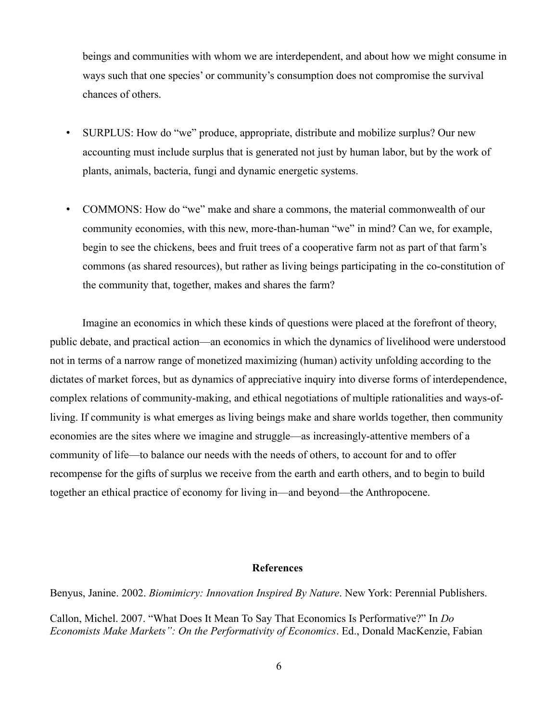beings and communities with whom we are interdependent, and about how we might consume in ways such that one species' or community's consumption does not compromise the survival chances of others.

- SURPLUS: How do "we" produce, appropriate, distribute and mobilize surplus? Our new accounting must include surplus that is generated not just by human labor, but by the work of plants, animals, bacteria, fungi and dynamic energetic systems.
- COMMONS: How do "we" make and share a commons, the material commonwealth of our community economies, with this new, more-than-human "we" in mind? Can we, for example, begin to see the chickens, bees and fruit trees of a cooperative farm not as part of that farm's commons (as shared resources), but rather as living beings participating in the co-constitution of the community that, together, makes and shares the farm?

Imagine an economics in which these kinds of questions were placed at the forefront of theory, public debate, and practical action—an economics in which the dynamics of livelihood were understood not in terms of a narrow range of monetized maximizing (human) activity unfolding according to the dictates of market forces, but as dynamics of appreciative inquiry into diverse forms of interdependence, complex relations of community-making, and ethical negotiations of multiple rationalities and ways-ofliving. If community is what emerges as living beings make and share worlds together, then community economies are the sites where we imagine and struggle—as increasingly-attentive members of a community of life—to balance our needs with the needs of others, to account for and to offer recompense for the gifts of surplus we receive from the earth and earth others, and to begin to build together an ethical practice of economy for living in—and beyond—the Anthropocene.

## **References**

Benyus, Janine. 2002. *Biomimicry: Innovation Inspired By Nature*. New York: Perennial Publishers.

Callon, Michel. 2007. "What Does It Mean To Say That Economics Is Performative?" In *Do Economists Make Markets": On the Performativity of Economics*. Ed., Donald MacKenzie, Fabian